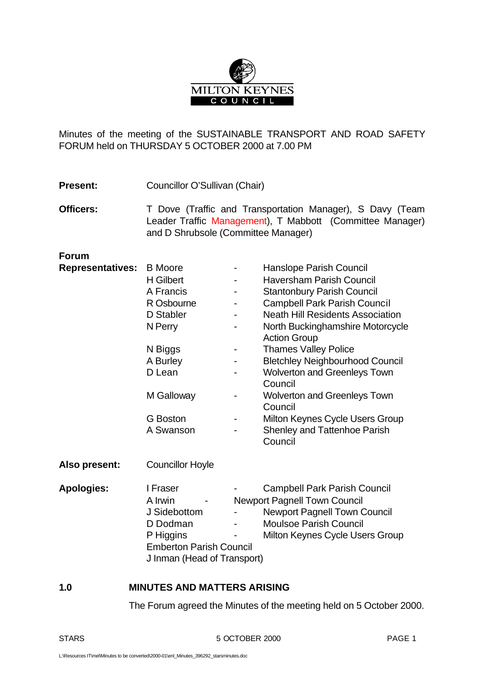

Minutes of the meeting of the SUSTAINABLE TRANSPORT AND ROAD SAFETY FORUM held on THURSDAY 5 OCTOBER 2000 at 7.00 PM

- Present: Councillor O'Sullivan (Chair)
- **Officers:** T Dove (Traffic and Transportation Manager), S Davy (Team Leader Traffic Management), T Mabbott (Committee Manager) and D Shrubsole (Committee Manager)

# **Forum**

| <b>Representatives:</b> | <b>B</b> Moore                 |   | Hanslope Parish Council                                 |
|-------------------------|--------------------------------|---|---------------------------------------------------------|
|                         | <b>H</b> Gilbert               |   | <b>Haversham Parish Council</b>                         |
|                         | A Francis                      |   | <b>Stantonbury Parish Council</b>                       |
|                         | R Osbourne                     |   | <b>Campbell Park Parish Council</b>                     |
|                         | D Stabler                      |   | <b>Neath Hill Residents Association</b>                 |
|                         | N Perry                        |   | North Buckinghamshire Motorcycle<br><b>Action Group</b> |
|                         | N Biggs                        | ۰ | <b>Thames Valley Police</b>                             |
|                         | A Burley                       |   | <b>Bletchley Neighbourhood Council</b>                  |
|                         | D Lean                         |   | <b>Wolverton and Greenleys Town</b>                     |
|                         |                                |   | Council                                                 |
|                         | M Galloway                     |   | <b>Wolverton and Greenleys Town</b>                     |
|                         |                                |   | Council                                                 |
|                         | G Boston                       |   | Milton Keynes Cycle Users Group                         |
|                         | A Swanson                      |   | <b>Shenley and Tattenhoe Parish</b>                     |
|                         |                                |   | Council                                                 |
| Also present:           | <b>Councillor Hoyle</b>        |   |                                                         |
| <b>Apologies:</b>       | I Fraser                       |   | <b>Campbell Park Parish Council</b>                     |
|                         | A Irwin                        |   | <b>Newport Pagnell Town Council</b>                     |
|                         | J Sidebottom                   |   | <b>Newport Pagnell Town Council</b>                     |
|                         | D Dodman                       |   | <b>Moulsoe Parish Council</b>                           |
|                         | P Higgins                      |   | Milton Keynes Cycle Users Group                         |
|                         | <b>Emberton Parish Council</b> |   |                                                         |
|                         | J Inman (Head of Transport)    |   |                                                         |

#### **1.0 MINUTES AND MATTERS ARISING**

The Forum agreed the Minutes of the meeting held on 5 October 2000.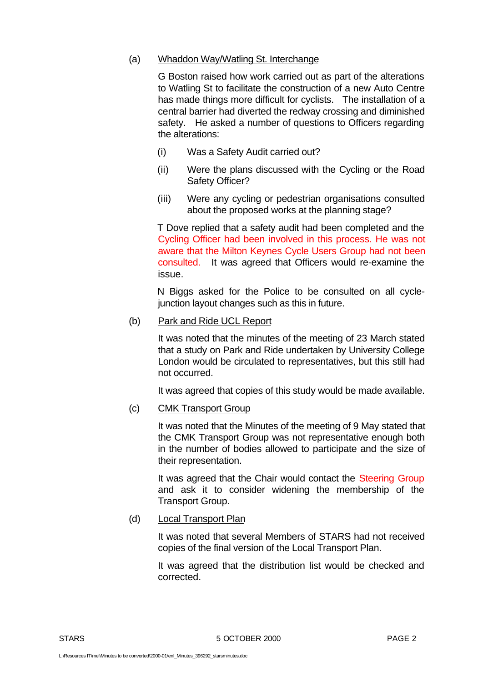## (a) Whaddon Way/Watling St. Interchange

G Boston raised how work carried out as part of the alterations to Watling St to facilitate the construction of a new Auto Centre has made things more difficult for cyclists. The installation of a central barrier had diverted the redway crossing and diminished safety. He asked a number of questions to Officers regarding the alterations:

- (i) Was a Safety Audit carried out?
- (ii) Were the plans discussed with the Cycling or the Road Safety Officer?
- (iii) Were any cycling or pedestrian organisations consulted about the proposed works at the planning stage?

T Dove replied that a safety audit had been completed and the Cycling Officer had been involved in this process. He was not aware that the Milton Keynes Cycle Users Group had not been consulted. It was agreed that Officers would re-examine the issue.

N Biggs asked for the Police to be consulted on all cyclejunction layout changes such as this in future.

(b) Park and Ride UCL Report

It was noted that the minutes of the meeting of 23 March stated that a study on Park and Ride undertaken by University College London would be circulated to representatives, but this still had not occurred.

It was agreed that copies of this study would be made available.

# (c) CMK Transport Group

It was noted that the Minutes of the meeting of 9 May stated that the CMK Transport Group was not representative enough both in the number of bodies allowed to participate and the size of their representation.

It was agreed that the Chair would contact the Steering Group and ask it to consider widening the membership of the Transport Group.

## (d) Local Transport Plan

It was noted that several Members of STARS had not received copies of the final version of the Local Transport Plan.

It was agreed that the distribution list would be checked and corrected.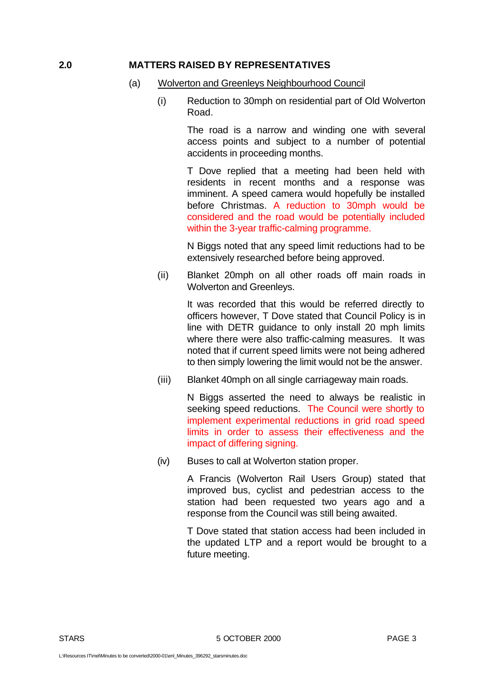#### **2.0 MATTERS RAISED BY REPRESENTATIVES**

- (a) Wolverton and Greenleys Neighbourhood Council
	- (i) Reduction to 30mph on residential part of Old Wolverton Road.

The road is a narrow and winding one with several access points and subject to a number of potential accidents in proceeding months.

T Dove replied that a meeting had been held with residents in recent months and a response was imminent. A speed camera would hopefully be installed before Christmas. A reduction to 30mph would be considered and the road would be potentially included within the 3-year traffic-calming programme.

N Biggs noted that any speed limit reductions had to be extensively researched before being approved.

(ii) Blanket 20mph on all other roads off main roads in Wolverton and Greenleys.

> It was recorded that this would be referred directly to officers however, T Dove stated that Council Policy is in line with DETR guidance to only install 20 mph limits where there were also traffic-calming measures. It was noted that if current speed limits were not being adhered to then simply lowering the limit would not be the answer.

(iii) Blanket 40mph on all single carriageway main roads.

N Biggs asserted the need to always be realistic in seeking speed reductions. The Council were shortly to implement experimental reductions in grid road speed limits in order to assess their effectiveness and the impact of differing signing.

(iv) Buses to call at Wolverton station proper.

A Francis (Wolverton Rail Users Group) stated that improved bus, cyclist and pedestrian access to the station had been requested two years ago and a response from the Council was still being awaited.

T Dove stated that station access had been included in the updated LTP and a report would be brought to a future meeting.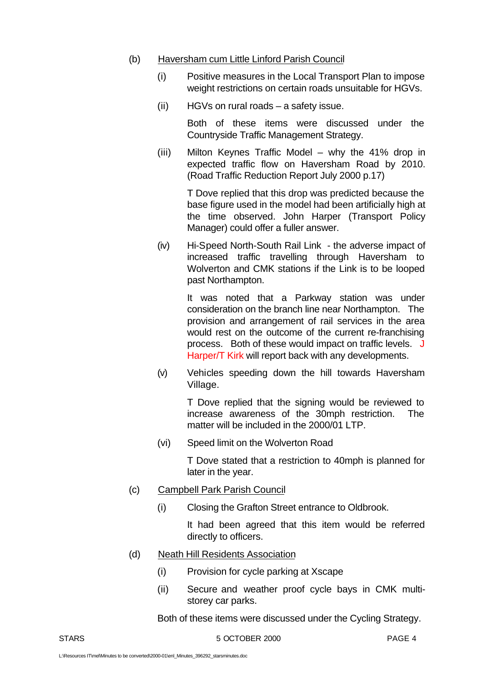#### (b) Haversham cum Little Linford Parish Council

- (i) Positive measures in the Local Transport Plan to impose weight restrictions on certain roads unsuitable for HGVs.
- (ii) HGVs on rural roads a safety issue.

Both of these items were discussed under the Countryside Traffic Management Strategy.

(iii) Milton Keynes Traffic Model – why the 41% drop in expected traffic flow on Haversham Road by 2010. (Road Traffic Reduction Report July 2000 p.17)

> T Dove replied that this drop was predicted because the base figure used in the model had been artificially high at the time observed. John Harper (Transport Policy Manager) could offer a fuller answer.

(iv) Hi-Speed North-South Rail Link - the adverse impact of increased traffic travelling through Haversham to Wolverton and CMK stations if the Link is to be looped past Northampton.

> It was noted that a Parkway station was under consideration on the branch line near Northampton. The provision and arrangement of rail services in the area would rest on the outcome of the current re-franchising process. Both of these would impact on traffic levels. J Harper/T Kirk will report back with any developments.

(v) Vehicles speeding down the hill towards Haversham Village.

> T Dove replied that the signing would be reviewed to increase awareness of the 30mph restriction. The matter will be included in the 2000/01 LTP.

(vi) Speed limit on the Wolverton Road

T Dove stated that a restriction to 40mph is planned for later in the year.

- (c) Campbell Park Parish Council
	- (i) Closing the Grafton Street entrance to Oldbrook.

It had been agreed that this item would be referred directly to officers.

- (d) Neath Hill Residents Association
	- (i) Provision for cycle parking at Xscape
	- (ii) Secure and weather proof cycle bays in CMK multistorey car parks.

Both of these items were discussed under the Cycling Strategy.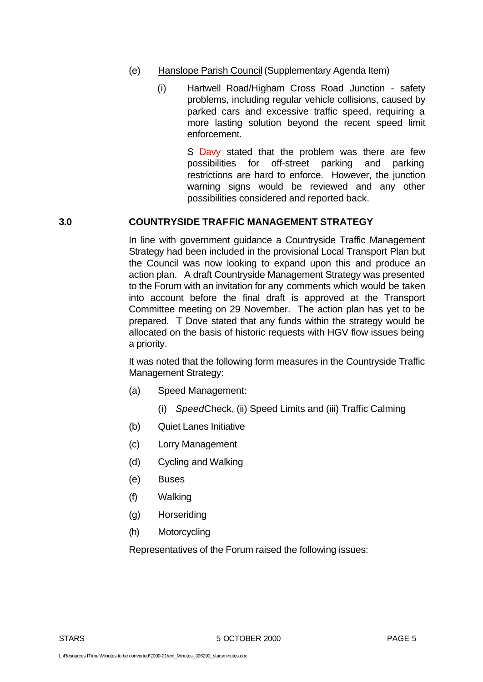- (e) Hanslope Parish Council (Supplementary Agenda Item)
	- (i) Hartwell Road/Higham Cross Road Junction safety problems, including regular vehicle collisions, caused by parked cars and excessive traffic speed, requiring a more lasting solution beyond the recent speed limit enforcement.

S Davy stated that the problem was there are few possibilities for off-street parking and parking restrictions are hard to enforce. However, the junction warning signs would be reviewed and any other possibilities considered and reported back.

#### **3.0 COUNTRYSIDE TRAFFIC MANAGEMENT STRATEGY**

In line with government guidance a Countryside Traffic Management Strategy had been included in the provisional Local Transport Plan but the Council was now looking to expand upon this and produce an action plan. A draft Countryside Management Strategy was presented to the Forum with an invitation for any comments which would be taken into account before the final draft is approved at the Transport Committee meeting on 29 November. The action plan has yet to be prepared. T Dove stated that any funds within the strategy would be allocated on the basis of historic requests with HGV flow issues being a priority.

It was noted that the following form measures in the Countryside Traffic Management Strategy:

- (a) Speed Management:
	- (i) *Speed*Check, (ii) Speed Limits and (iii) Traffic Calming
- (b) Quiet Lanes Initiative
- (c) Lorry Management
- (d) Cycling and Walking
- (e) Buses
- (f) Walking
- (g) Horseriding
- (h) Motorcycling

Representatives of the Forum raised the following issues: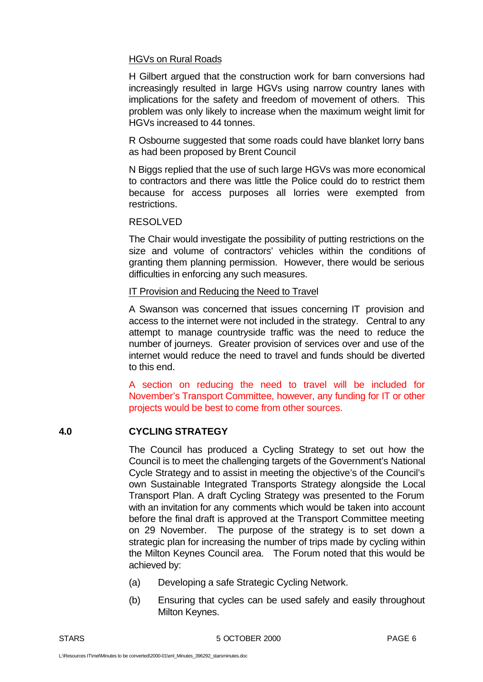## HGVs on Rural Roads

H Gilbert argued that the construction work for barn conversions had increasingly resulted in large HGVs using narrow country lanes with implications for the safety and freedom of movement of others. This problem was only likely to increase when the maximum weight limit for HGVs increased to 44 tonnes.

R Osbourne suggested that some roads could have blanket lorry bans as had been proposed by Brent Council

N Biggs replied that the use of such large HGVs was more economical to contractors and there was little the Police could do to restrict them because for access purposes all lorries were exempted from restrictions.

## RESOLVED

The Chair would investigate the possibility of putting restrictions on the size and volume of contractors' vehicles within the conditions of granting them planning permission. However, there would be serious difficulties in enforcing any such measures.

#### IT Provision and Reducing the Need to Travel

A Swanson was concerned that issues concerning IT provision and access to the internet were not included in the strategy. Central to any attempt to manage countryside traffic was the need to reduce the number of journeys. Greater provision of services over and use of the internet would reduce the need to travel and funds should be diverted to this end.

A section on reducing the need to travel will be included for November's Transport Committee, however, any funding for IT or other projects would be best to come from other sources.

# **4.0 CYCLING STRATEGY**

The Council has produced a Cycling Strategy to set out how the Council is to meet the challenging targets of the Government's National Cycle Strategy and to assist in meeting the objective's of the Council's own Sustainable Integrated Transports Strategy alongside the Local Transport Plan. A draft Cycling Strategy was presented to the Forum with an invitation for any comments which would be taken into account before the final draft is approved at the Transport Committee meeting on 29 November. The purpose of the strategy is to set down a strategic plan for increasing the number of trips made by cycling within the Milton Keynes Council area. The Forum noted that this would be achieved by:

- (a) Developing a safe Strategic Cycling Network.
- (b) Ensuring that cycles can be used safely and easily throughout Milton Keynes.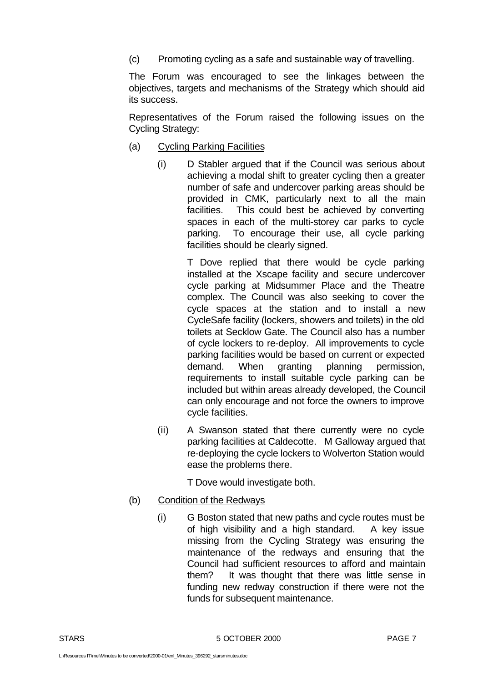(c) Promoting cycling as a safe and sustainable way of travelling.

The Forum was encouraged to see the linkages between the objectives, targets and mechanisms of the Strategy which should aid its success.

Representatives of the Forum raised the following issues on the Cycling Strategy:

- (a) Cycling Parking Facilities
	- (i) D Stabler argued that if the Council was serious about achieving a modal shift to greater cycling then a greater number of safe and undercover parking areas should be provided in CMK, particularly next to all the main facilities. This could best be achieved by converting spaces in each of the multi-storey car parks to cycle parking. To encourage their use, all cycle parking facilities should be clearly signed.

T Dove replied that there would be cycle parking installed at the Xscape facility and secure undercover cycle parking at Midsummer Place and the Theatre complex. The Council was also seeking to cover the cycle spaces at the station and to install a new CycleSafe facility (lockers, showers and toilets) in the old toilets at Secklow Gate. The Council also has a number of cycle lockers to re-deploy. All improvements to cycle parking facilities would be based on current or expected demand. When granting planning permission, requirements to install suitable cycle parking can be included but within areas already developed, the Council can only encourage and not force the owners to improve cycle facilities.

(ii) A Swanson stated that there currently were no cycle parking facilities at Caldecotte. M Galloway argued that re-deploying the cycle lockers to Wolverton Station would ease the problems there.

T Dove would investigate both.

- (b) Condition of the Redways
	- (i) G Boston stated that new paths and cycle routes must be of high visibility and a high standard. A key issue missing from the Cycling Strategy was ensuring the maintenance of the redways and ensuring that the Council had sufficient resources to afford and maintain them? It was thought that there was little sense in funding new redway construction if there were not the funds for subsequent maintenance.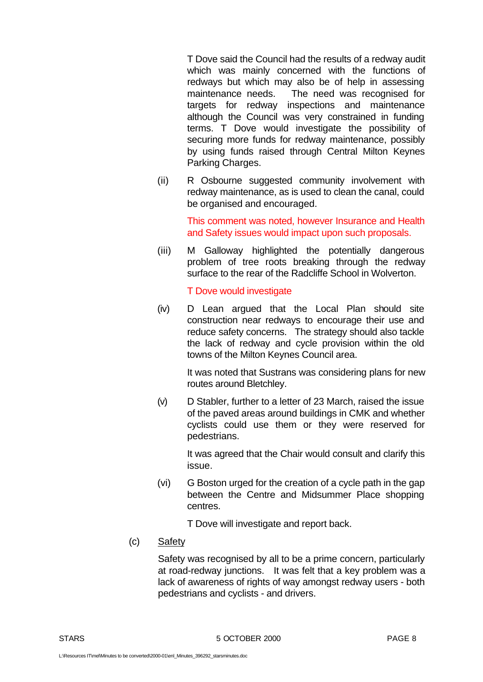T Dove said the Council had the results of a redway audit which was mainly concerned with the functions of redways but which may also be of help in assessing maintenance needs. The need was recognised for targets for redway inspections and maintenance although the Council was very constrained in funding terms. T Dove would investigate the possibility of securing more funds for redway maintenance, possibly by using funds raised through Central Milton Keynes Parking Charges.

(ii) R Osbourne suggested community involvement with redway maintenance, as is used to clean the canal, could be organised and encouraged.

> This comment was noted, however Insurance and Health and Safety issues would impact upon such proposals.

(iii) M Galloway highlighted the potentially dangerous problem of tree roots breaking through the redway surface to the rear of the Radcliffe School in Wolverton.

T Dove would investigate

(iv) D Lean argued that the Local Plan should site construction near redways to encourage their use and reduce safety concerns. The strategy should also tackle the lack of redway and cycle provision within the old towns of the Milton Keynes Council area.

> It was noted that Sustrans was considering plans for new routes around Bletchley.

(v) D Stabler, further to a letter of 23 March, raised the issue of the paved areas around buildings in CMK and whether cyclists could use them or they were reserved for pedestrians.

> It was agreed that the Chair would consult and clarify this issue.

(vi) G Boston urged for the creation of a cycle path in the gap between the Centre and Midsummer Place shopping centres.

T Dove will investigate and report back.

(c) Safety

Safety was recognised by all to be a prime concern, particularly at road-redway junctions. It was felt that a key problem was a lack of awareness of rights of way amongst redway users - both pedestrians and cyclists - and drivers.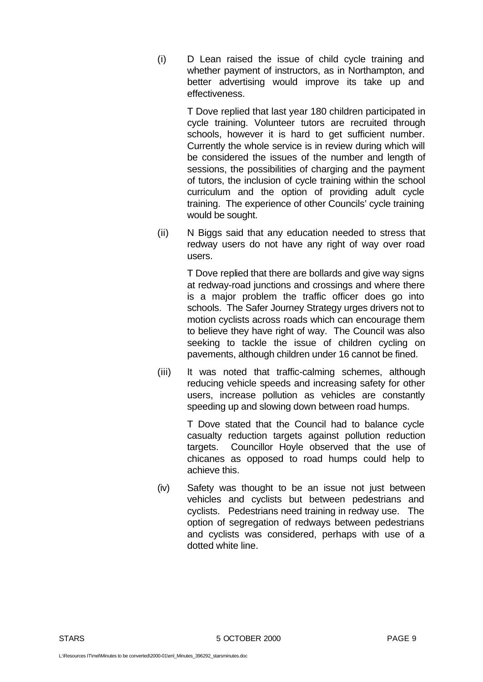(i) D Lean raised the issue of child cycle training and whether payment of instructors, as in Northampton, and better advertising would improve its take up and effectiveness.

> T Dove replied that last year 180 children participated in cycle training. Volunteer tutors are recruited through schools, however it is hard to get sufficient number. Currently the whole service is in review during which will be considered the issues of the number and length of sessions, the possibilities of charging and the payment of tutors, the inclusion of cycle training within the school curriculum and the option of providing adult cycle training. The experience of other Councils' cycle training would be sought.

(ii) N Biggs said that any education needed to stress that redway users do not have any right of way over road users.

> T Dove replied that there are bollards and give way signs at redway-road junctions and crossings and where there is a major problem the traffic officer does go into schools. The Safer Journey Strategy urges drivers not to motion cyclists across roads which can encourage them to believe they have right of way. The Council was also seeking to tackle the issue of children cycling on pavements, although children under 16 cannot be fined.

(iii) It was noted that traffic-calming schemes, although reducing vehicle speeds and increasing safety for other users, increase pollution as vehicles are constantly speeding up and slowing down between road humps.

> T Dove stated that the Council had to balance cycle casualty reduction targets against pollution reduction targets. Councillor Hoyle observed that the use of chicanes as opposed to road humps could help to achieve this.

(iv) Safety was thought to be an issue not just between vehicles and cyclists but between pedestrians and cyclists. Pedestrians need training in redway use. The option of segregation of redways between pedestrians and cyclists was considered, perhaps with use of a dotted white line.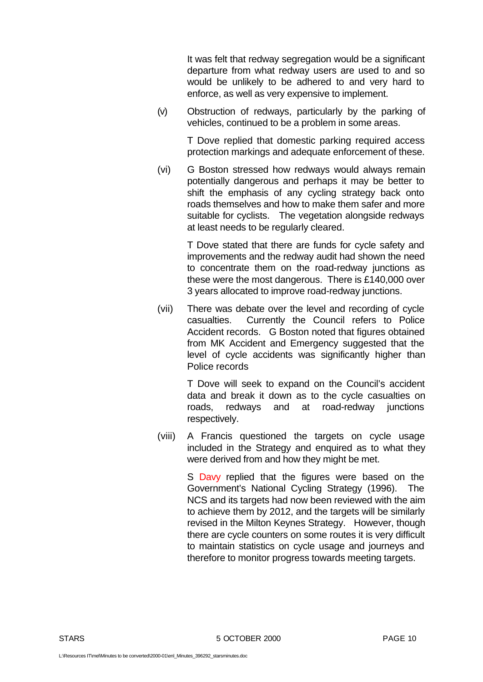It was felt that redway segregation would be a significant departure from what redway users are used to and so would be unlikely to be adhered to and very hard to enforce, as well as very expensive to implement.

(v) Obstruction of redways, particularly by the parking of vehicles, continued to be a problem in some areas.

> T Dove replied that domestic parking required access protection markings and adequate enforcement of these.

(vi) G Boston stressed how redways would always remain potentially dangerous and perhaps it may be better to shift the emphasis of any cycling strategy back onto roads themselves and how to make them safer and more suitable for cyclists. The vegetation alongside redways at least needs to be regularly cleared.

> T Dove stated that there are funds for cycle safety and improvements and the redway audit had shown the need to concentrate them on the road-redway junctions as these were the most dangerous. There is £140,000 over 3 years allocated to improve road-redway junctions.

(vii) There was debate over the level and recording of cycle casualties. Currently the Council refers to Police Accident records. G Boston noted that figures obtained from MK Accident and Emergency suggested that the level of cycle accidents was significantly higher than Police records

> T Dove will seek to expand on the Council's accident data and break it down as to the cycle casualties on roads, redways and at road-redway junctions respectively.

(viii) A Francis questioned the targets on cycle usage included in the Strategy and enquired as to what they were derived from and how they might be met.

> S Davy replied that the figures were based on the Government's National Cycling Strategy (1996). The NCS and its targets had now been reviewed with the aim to achieve them by 2012, and the targets will be similarly revised in the Milton Keynes Strategy. However, though there are cycle counters on some routes it is very difficult to maintain statistics on cycle usage and journeys and therefore to monitor progress towards meeting targets.